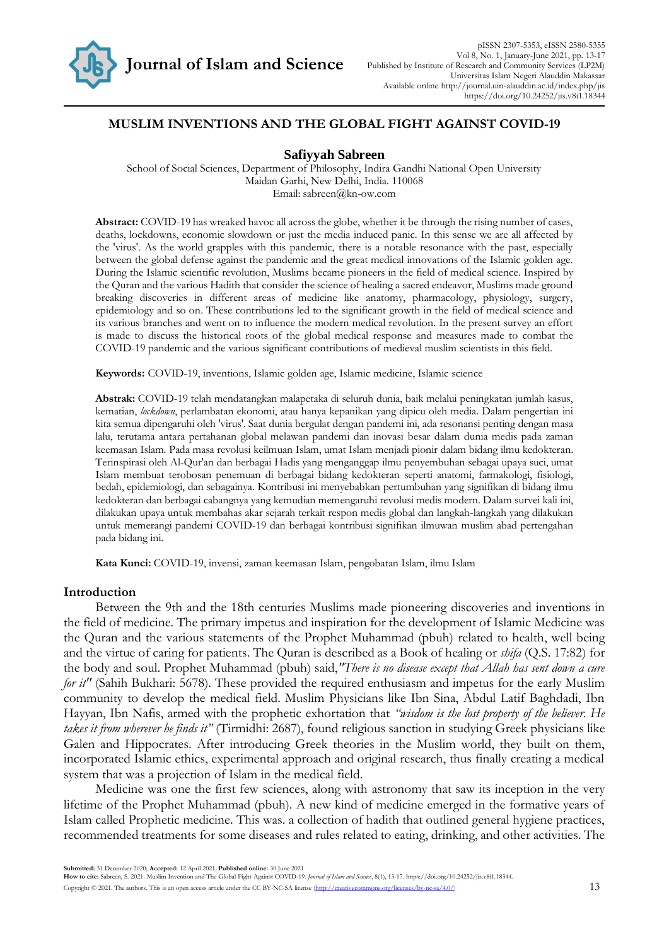

# **MUSLIM INVENTIONS AND THE GLOBAL FIGHT AGAINST COVID-19**

# **Safiyyah Sabreen**

School of Social Sciences, Department of Philosophy, Indira Gandhi National Open University Maidan Garhi, New Delhi, India. 110068 Email: sabreen@kn-ow.com

**Abstract:** COVID-19 has wreaked havoc all across the globe, whether it be through the rising number of cases, deaths, lockdowns, economic slowdown or just the media induced panic. In this sense we are all affected by the 'virus'. As the world grapples with this pandemic, there is a notable resonance with the past, especially between the global defense against the pandemic and the great medical innovations of the Islamic golden age. During the Islamic scientific revolution, Muslims became pioneers in the field of medical science. Inspired by the Quran and the various Hadith that consider the science of healing a sacred endeavor, Muslims made ground breaking discoveries in different areas of medicine like anatomy, pharmacology, physiology, surgery, epidemiology and so on. These contributions led to the significant growth in the field of medical science and its various branches and went on to influence the modern medical revolution. In the present survey an effort is made to discuss the historical roots of the global medical response and measures made to combat the COVID-19 pandemic and the various significant contributions of medieval muslim scientists in this field.

**Keywords:** COVID-19, inventions, Islamic golden age, Islamic medicine, Islamic science

**Abstrak:** COVID-19 telah mendatangkan malapetaka di seluruh dunia, baik melalui peningkatan jumlah kasus, kematian, *lockdown*, perlambatan ekonomi, atau hanya kepanikan yang dipicu oleh media. Dalam pengertian ini kita semua dipengaruhi oleh 'virus'. Saat dunia bergulat dengan pandemi ini, ada resonansi penting dengan masa lalu, terutama antara pertahanan global melawan pandemi dan inovasi besar dalam dunia medis pada zaman keemasan Islam. Pada masa revolusi keilmuan Islam, umat Islam menjadi pionir dalam bidang ilmu kedokteran. Terinspirasi oleh Al-Qur'an dan berbagai Hadis yang menganggap ilmu penyembuhan sebagai upaya suci, umat Islam membuat terobosan penemuan di berbagai bidang kedokteran seperti anatomi, farmakologi, fisiologi, bedah, epidemiologi, dan sebagainya. Kontribusi ini menyebabkan pertumbuhan yang signifikan di bidang ilmu kedokteran dan berbagai cabangnya yang kemudian memengaruhi revolusi medis modern. Dalam survei kali ini, dilakukan upaya untuk membahas akar sejarah terkait respon medis global dan langkah-langkah yang dilakukan untuk memerangi pandemi COVID-19 dan berbagai kontribusi signifikan ilmuwan muslim abad pertengahan pada bidang ini.

**Kata Kunci:** COVID-19, invensi, zaman keemasan Islam, pengobatan Islam, ilmu Islam

## **Introduction**

Between the 9th and the 18th centuries Muslims made pioneering discoveries and inventions in the field of medicine. The primary impetus and inspiration for the development of Islamic Medicine was the Quran and the various statements of the Prophet Muhammad (pbuh) related to health, well being and the virtue of caring for patients. The Quran is described as a Book of healing or *shifa* (Q.S. 17:82) for the body and soul. Prophet Muhammad (pbuh) said,*"There is no disease except that Allah has sent down a cure for it"* (Sahih Bukhari: 5678). These provided the required enthusiasm and impetus for the early Muslim community to develop the medical field. Muslim Physicians like Ibn Sina, Abdul Latif Baghdadi, Ibn Hayyan, Ibn Nafis, armed with the prophetic exhortation that *"wisdom is the lost property of the believer. He takes it from wherever he finds it"* (Tirmidhi: 2687), found religious sanction in studying Greek physicians like Galen and Hippocrates. After introducing Greek theories in the Muslim world, they built on them, incorporated Islamic ethics, experimental approach and original research, thus finally creating a medical system that was a projection of Islam in the medical field.

Medicine was one the first few sciences, along with astronomy that saw its inception in the very lifetime of the Prophet Muhammad (pbuh). A new kind of medicine emerged in the formative years of Islam called Prophetic medicine. This was. a collection of hadith that outlined general hygiene practices, recommended treatments for some diseases and rules related to eating, drinking, and other activities. The

**Submitted:** 31 December 2020; **Accepted:** 12 April 2021; **Published online:** 30 June 2021

**How to cite:** Sabreen, S. 2021. Muslim Invention and The Global Fight Against COVID-19. *Journal of Islam and Science*, 8(1), 13-17. https://doi.org/10.24252/jis.v8i1.18344.

Copyright © 2021. The authors. This is an open access article under the CC BY-NC-SA license [\(http://creativecommons.org/licenses/by-nc-sa/4.0/\)](http://creativecommons.org/licenses/by-nc-sa/4.0/) 13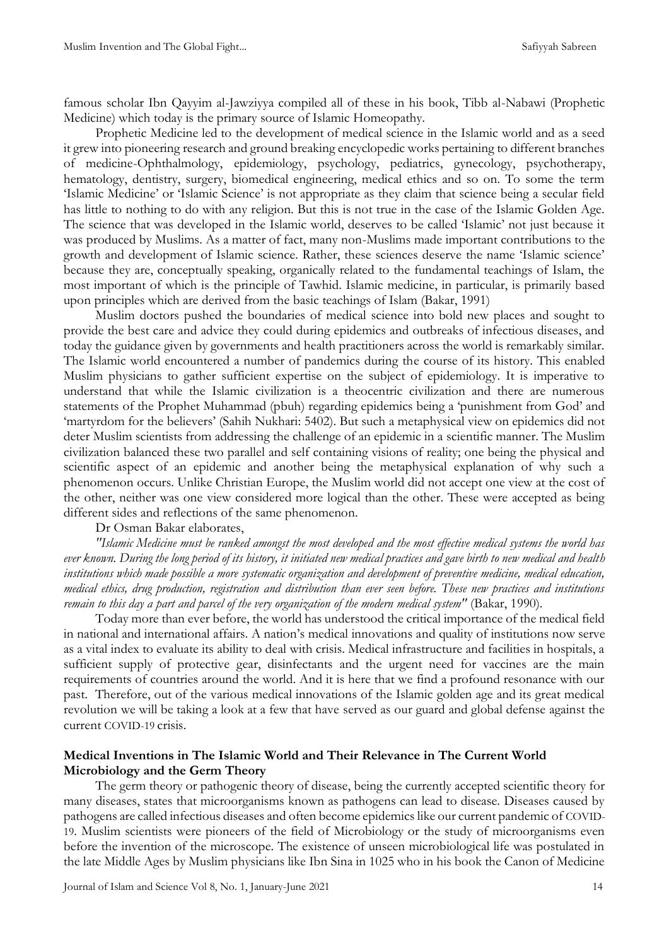famous scholar Ibn Qayyim al-Jawziyya compiled all of these in his book, Tibb al-Nabawi (Prophetic Medicine) which today is the primary source of Islamic Homeopathy.

Prophetic Medicine led to the development of medical science in the Islamic world and as a seed it grew into pioneering research and ground breaking encyclopedic works pertaining to different branches of medicine-Ophthalmology, epidemiology, psychology, pediatrics, gynecology, psychotherapy, hematology, dentistry, surgery, biomedical engineering, medical ethics and so on. To some the term 'Islamic Medicine' or 'Islamic Science' is not appropriate as they claim that science being a secular field has little to nothing to do with any religion. But this is not true in the case of the Islamic Golden Age. The science that was developed in the Islamic world, deserves to be called 'Islamic' not just because it was produced by Muslims. As a matter of fact, many non-Muslims made important contributions to the growth and development of Islamic science. Rather, these sciences deserve the name 'Islamic science' because they are, conceptually speaking, organically related to the fundamental teachings of Islam, the most important of which is the principle of Tawhid. Islamic medicine, in particular, is primarily based upon principles which are derived from the basic teachings of Islam (Bakar, 1991)

Muslim doctors pushed the boundaries of medical science into bold new places and sought to provide the best care and advice they could during epidemics and outbreaks of infectious diseases, and today the guidance given by governments and health practitioners across the world is remarkably similar. The Islamic world encountered a number of pandemics during the course of its history. This enabled Muslim physicians to gather sufficient expertise on the subject of epidemiology. It is imperative to understand that while the Islamic civilization is a theocentric civilization and there are numerous statements of the Prophet Muhammad (pbuh) regarding epidemics being a 'punishment from God' and 'martyrdom for the believers' (Sahih Nukhari: 5402). But such a metaphysical view on epidemics did not deter Muslim scientists from addressing the challenge of an epidemic in a scientific manner. The Muslim civilization balanced these two parallel and self containing visions of reality; one being the physical and scientific aspect of an epidemic and another being the metaphysical explanation of why such a phenomenon occurs. Unlike Christian Europe, the Muslim world did not accept one view at the cost of the other, neither was one view considered more logical than the other. These were accepted as being different sides and reflections of the same phenomenon.

# Dr Osman Bakar elaborates,

*"Islamic Medicine must be ranked amongst the most developed and the most effective medical systems the world has ever known. During the long period of its history, it initiated new medical practices and gave birth to new medical and health institutions which made possible a more systematic organization and development of preventive medicine, medical education, medical ethics, drug production, registration and distribution than ever seen before. These new practices and institutions remain to this day a part and parcel of the very organization of the modern medical system"* (Bakar, 1990).

Today more than ever before, the world has understood the critical importance of the medical field in national and international affairs. A nation's medical innovations and quality of institutions now serve as a vital index to evaluate its ability to deal with crisis. Medical infrastructure and facilities in hospitals, a sufficient supply of protective gear, disinfectants and the urgent need for vaccines are the main requirements of countries around the world. And it is here that we find a profound resonance with our past. Therefore, out of the various medical innovations of the Islamic golden age and its great medical revolution we will be taking a look at a few that have served as our guard and global defense against the current COVID-19 crisis.

# **Medical Inventions in The Islamic World and Their Relevance in The Current World Microbiology and the Germ Theory**

The germ theory or pathogenic theory of disease, being the currently accepted scientific theory for many diseases, states that microorganisms known as pathogens can lead to disease. Diseases caused by pathogens are called infectious diseases and often become epidemics like our current pandemic of COVID-19. Muslim scientists were pioneers of the field of Microbiology or the study of microorganisms even before the invention of the microscope. The existence of unseen microbiological life was postulated in the late Middle Ages by Muslim physicians like Ibn Sina in 1025 who in his book the Canon of Medicine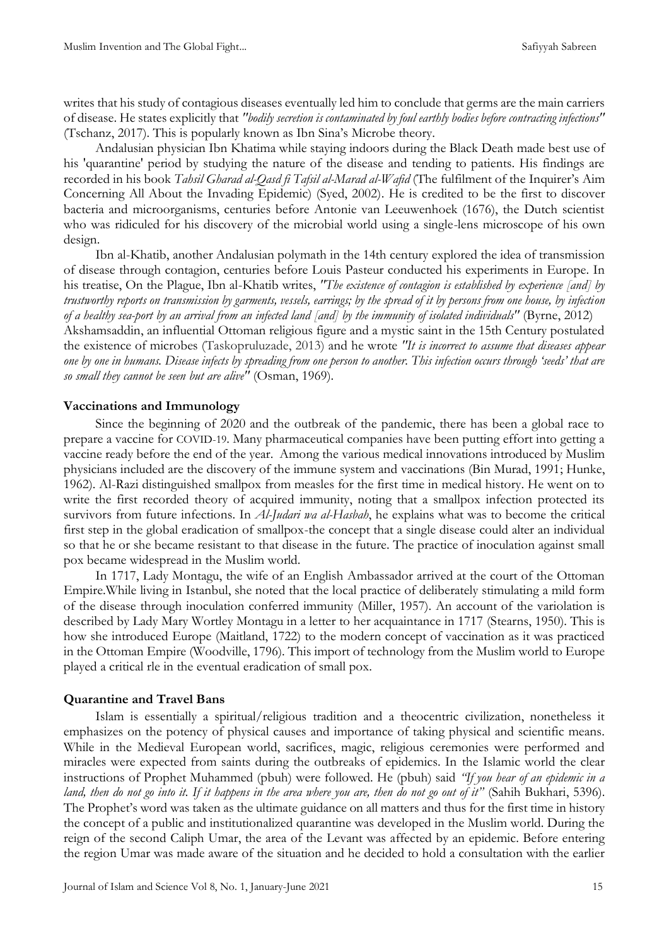writes that his study of contagious diseases eventually led him to conclude that germs are the main carriers of disease. He states explicitly that *"bodily secretion is contaminated by foul earthly bodies before contracting infections"*  (Tschanz, 2017). This is popularly known as Ibn Sina's Microbe theory.

Andalusian physician Ibn Khatima while staying indoors during the Black Death made best use of his 'quarantine' period by studying the nature of the disease and tending to patients. His findings are recorded in his book *Tahsil Gharad al-Qasd fi Tafsil al-Marad al-Wafid* (The fulfilment of the Inquirer's Aim Concerning All About the Invading Epidemic) (Syed, 2002). He is credited to be the first to discover bacteria and microorganisms, centuries before Antonie van Leeuwenhoek (1676), the Dutch scientist who was ridiculed for his discovery of the microbial world using a single-lens microscope of his own design.

Ibn al-Khatib, another Andalusian polymath in the 14th century explored the idea of transmission of disease through contagion, centuries before Louis Pasteur conducted his experiments in Europe. In his treatise, On the Plague, Ibn al-Khatib writes, *"The existence of contagion is established by experience [and] by trustworthy reports on transmission by garments, vessels, earrings; by the spread of it by persons from one house, by infection of a healthy sea-port by an arrival from an infected land [and] by the immunity of isolated individuals"* (Byrne, 2012) Akshamsaddin, an influential Ottoman religious figure and a mystic saint in the 15th Century postulated the existence of microbes (Taskopruluzade, 2013) and he wrote *"It is incorrect to assume that diseases appear one by one in humans. Disease infects by spreading from one person to another. This infection occurs through 'seeds' that are so small they cannot be seen but are alive"* (Osman, 1969).

## **Vaccinations and Immunology**

Since the beginning of 2020 and the outbreak of the pandemic, there has been a global race to prepare a vaccine for COVID-19. Many pharmaceutical companies have been putting effort into getting a vaccine ready before the end of the year. Among the various medical innovations introduced by Muslim physicians included are the discovery of the immune system and vaccinations (Bin Murad, 1991; Hunke, 1962). Al-Razi distinguished smallpox from measles for the first time in medical history. He went on to write the first recorded theory of acquired immunity, noting that a smallpox infection protected its survivors from future infections. In *Al-Judari wa al-Hasbah*, he explains what was to become the critical first step in the global eradication of smallpox-the concept that a single disease could alter an individual so that he or she became resistant to that disease in the future. The practice of inoculation against small pox became widespread in the Muslim world.

In 1717, Lady Montagu, the wife of an English Ambassador arrived at the court of the Ottoman Empire.While living in Istanbul, she noted that the local practice of deliberately stimulating a mild form of the disease through inoculation conferred immunity (Miller, 1957). An account of the variolation is described by Lady Mary Wortley Montagu in a letter to her acquaintance in 1717 (Stearns, 1950). This is how she introduced Europe (Maitland, 1722) to the modern concept of vaccination as it was practiced in the Ottoman Empire (Woodville, 1796). This import of technology from the Muslim world to Europe played a critical rle in the eventual eradication of small pox.

#### **Quarantine and Travel Bans**

Islam is essentially a spiritual/religious tradition and a theocentric civilization, nonetheless it emphasizes on the potency of physical causes and importance of taking physical and scientific means. While in the Medieval European world, sacrifices, magic, religious ceremonies were performed and miracles were expected from saints during the outbreaks of epidemics. In the Islamic world the clear instructions of Prophet Muhammed (pbuh) were followed. He (pbuh) said *"If you hear of an epidemic in a land, then do not go into it. If it happens in the area where you are, then do not go out of it"* (Sahih Bukhari, 5396). The Prophet's word was taken as the ultimate guidance on all matters and thus for the first time in history the concept of a public and institutionalized quarantine was developed in the Muslim world. During the reign of the second Caliph Umar, the area of the Levant was affected by an epidemic. Before entering the region Umar was made aware of the situation and he decided to hold a consultation with the earlier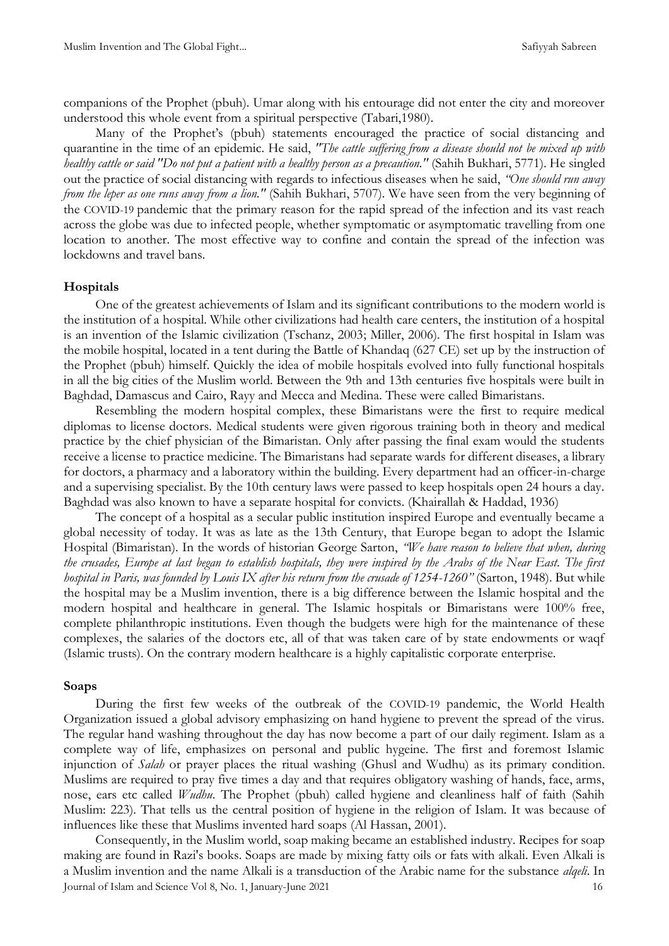companions of the Prophet (pbuh). Umar along with his entourage did not enter the city and moreover understood this whole event from a spiritual perspective (Tabari,1980).

Many of the Prophet's (pbuh) statements encouraged the practice of social distancing and quarantine in the time of an epidemic. He said, *"The cattle suffering from a disease should not be mixed up with healthy cattle or said "Do not put a patient with a healthy person as a precaution."* (Sahih Bukhari, 5771). He singled out the practice of social distancing with regards to infectious diseases when he said, *"One should run away from the leper as one runs away from a lion."* (Sahih Bukhari, 5707). We have seen from the very beginning of the COVID-19 pandemic that the primary reason for the rapid spread of the infection and its vast reach across the globe was due to infected people, whether symptomatic or asymptomatic travelling from one location to another. The most effective way to confine and contain the spread of the infection was lockdowns and travel bans.

### **Hospitals**

One of the greatest achievements of Islam and its significant contributions to the modern world is the institution of a hospital. While other civilizations had health care centers, the institution of a hospital is an invention of the Islamic civilization (Tschanz, 2003; Miller, 2006). The first hospital in Islam was the mobile hospital, located in a tent during the Battle of Khandaq (627 CE) set up by the instruction of the Prophet (pbuh) himself. Quickly the idea of mobile hospitals evolved into fully functional hospitals in all the big cities of the Muslim world. Between the 9th and 13th centuries five hospitals were built in Baghdad, Damascus and Cairo, Rayy and Mecca and Medina. These were called Bimaristans.

Resembling the modern hospital complex, these Bimaristans were the first to require medical diplomas to license doctors. Medical students were given rigorous training both in theory and medical practice by the chief physician of the Bimaristan. Only after passing the final exam would the students receive a license to practice medicine. The Bimaristans had separate wards for different diseases, a library for doctors, a pharmacy and a laboratory within the building. Every department had an officer-in-charge and a supervising specialist. By the 10th century laws were passed to keep hospitals open 24 hours a day. Baghdad was also known to have a separate hospital for convicts. (Khairallah & Haddad, 1936)

The concept of a hospital as a secular public institution inspired Europe and eventually became a global necessity of today. It was as late as the 13th Century, that Europe began to adopt the Islamic Hospital (Bimaristan). In the words of historian George Sarton, *"We have reason to believe that when, during the crusades, Europe at last began to establish hospitals, they were inspired by the Arabs of the Near East. The first hospital in Paris, was founded by Louis IX after his return from the crusade of 1254-1260"* (Sarton, 1948). But while the hospital may be a Muslim invention, there is a big difference between the Islamic hospital and the modern hospital and healthcare in general. The Islamic hospitals or Bimaristans were 100% free, complete philanthropic institutions. Even though the budgets were high for the maintenance of these complexes, the salaries of the doctors etc, all of that was taken care of by state endowments or waqf (Islamic trusts). On the contrary modern healthcare is a highly capitalistic corporate enterprise.

#### **Soaps**

During the first few weeks of the outbreak of the COVID-19 pandemic, the World Health Organization issued a global advisory emphasizing on hand hygiene to prevent the spread of the virus. The regular hand washing throughout the day has now become a part of our daily regiment. Islam as a complete way of life, emphasizes on personal and public hygeine. The first and foremost Islamic injunction of *Salah* or prayer places the ritual washing (Ghusl and Wudhu) as its primary condition. Muslims are required to pray five times a day and that requires obligatory washing of hands, face, arms, nose, ears etc called *Wudhu*. The Prophet (pbuh) called hygiene and cleanliness half of faith (Sahih Muslim: 223). That tells us the central position of hygiene in the religion of Islam. It was because of influences like these that Muslims invented hard soaps (Al Hassan, 2001).

Journal of Islam and Science Vol 8, No. 1, January-June 2021 16 Consequently, in the Muslim world, soap making became an established industry. Recipes for soap making are found in Razi's books. Soaps are made by mixing fatty oils or fats with alkali. Even Alkali is a Muslim invention and the name Alkali is a transduction of the Arabic name for the substance *alqeli*. In